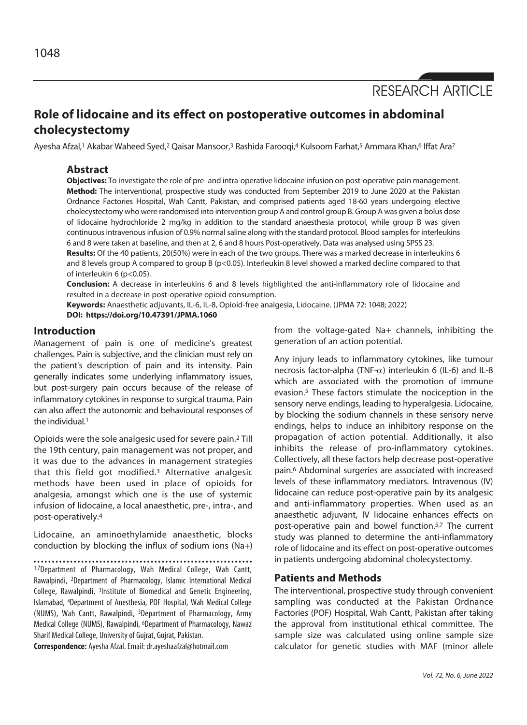RESEARCH ARTICLE

# **Role of lidocaine and its effect on postoperative outcomes in abdominal cholecystectomy**

Ayesha Afzal,1 Akabar Waheed Syed,2 Qaisar Mansoor,3 Rashida Farooqi,4 Kulsoom Farhat,5 Ammara Khan,6 Iffat Ara7

# **Abstract**

**Objectives:** To investigate the role of pre- and intra-operative lidocaine infusion on post-operative pain management. **Method:** The interventional, prospective study was conducted from September 2019 to June 2020 at the Pakistan Ordnance Factories Hospital, Wah Cantt, Pakistan, and comprised patients aged 18-60 years undergoing elective cholecystectomy who were randomised into intervention group A and control group B. Group A was given a bolus dose of lidocaine hydrochloride 2 mg/kg in addition to the standard anaesthesia protocol, while group B was given continuous intravenous infusion of 0.9% normal saline along with the standard protocol. Blood samples for interleukins 6 and 8 were taken at baseline, and then at 2, 6 and 8 hours Post-operatively. Data was analysed using SPSS 23.

**Results:** Of the 40 patients, 20(50%) were in each of the two groups. There was a marked decrease in interleukins 6 and 8 levels group A compared to group B (p<0.05). Interleukin 8 level showed a marked decline compared to that of interleukin 6 (p<0.05).

**Conclusion:** A decrease in interleukins 6 and 8 levels highlighted the anti-inflammatory role of lidocaine and resulted in a decrease in post-operative opioid consumption.

**Keywords:** Anaesthetic adjuvants, IL-6, IL-8, Opioid-free analgesia, Lidocaine. (JPMA 72: 1048; 2022) **DOI: https://doi.org/10.47391/JPMA.1060** 

## **Introduction**

Management of pain is one of medicine's greatest challenges. Pain is subjective, and the clinician must rely on the patient's description of pain and its intensity. Pain generally indicates some underlying inflammatory issues, but post-surgery pain occurs because of the release of inflammatory cytokines in response to surgical trauma. Pain can also affect the autonomic and behavioural responses of the individual.1

Opioids were the sole analgesic used for severe pain.2 Till the 19th century, pain management was not proper, and it was due to the advances in management strategies that this field got modified.3 Alternative analgesic methods have been used in place of opioids for analgesia, amongst which one is the use of systemic infusion of lidocaine, a local anaesthetic, pre-, intra-, and post-operatively.4

Lidocaine, an aminoethylamide anaesthetic, blocks conduction by blocking the influx of sodium ions (Na+)

1,7Department of Pharmacology, Wah Medical College, Wah Cantt, Rawalpindi, 2Department of Pharmacology, Islamic International Medical College, Rawalpindi, 3Institute of Biomedical and Genetic Engineering, Islamabad, 4Department of Anesthesia, POF Hospital, Wah Medical College (NUMS), Wah Cantt, Rawalpindi, 5Department of Pharmacology, Army Medical College (NUMS), Rawalpindi, 6Department of Pharmacology, Nawaz Sharif Medical College, University of Gujrat, Gujrat, Pakistan.

**Correspondence:** Ayesha Afzal. Email: dr.ayeshaafzal@hotmail.com

from the voltage-gated Na+ channels, inhibiting the generation of an action potential.

Any injury leads to inflammatory cytokines, like tumour necrosis factor-alpha (TNF- $\alpha$ ) interleukin 6 (IL-6) and IL-8 which are associated with the promotion of immune evasion.5 These factors stimulate the nociception in the sensory nerve endings, leading to hyperalgesia. Lidocaine, by blocking the sodium channels in these sensory nerve endings, helps to induce an inhibitory response on the propagation of action potential. Additionally, it also inhibits the release of pro-inflammatory cytokines. Collectively, all these factors help decrease post-operative pain.6 Abdominal surgeries are associated with increased levels of these inflammatory mediators. Intravenous (IV) lidocaine can reduce post-operative pain by its analgesic and anti-inflammatory properties. When used as an anaesthetic adjuvant, IV lidocaine enhances effects on post-operative pain and bowel function.5,7 The current study was planned to determine the anti-inflammatory role of lidocaine and its effect on post-operative outcomes in patients undergoing abdominal cholecystectomy.

## **Patients and Methods**

The interventional, prospective study through convenient sampling was conducted at the Pakistan Ordnance Factories (POF) Hospital, Wah Cantt, Pakistan after taking the approval from institutional ethical committee. The sample size was calculated using online sample size calculator for genetic studies with MAF (minor allele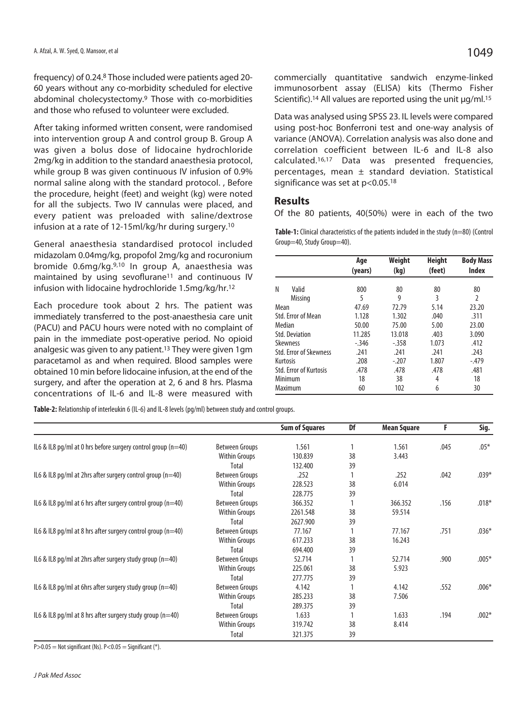frequency) of 0.24.8 Those included were patients aged 20- 60 years without any co-morbidity scheduled for elective abdominal cholecystectomy.9 Those with co-morbidities and those who refused to volunteer were excluded.

After taking informed written consent, were randomised into intervention group A and control group B. Group A was given a bolus dose of lidocaine hydrochloride 2mg/kg in addition to the standard anaesthesia protocol, while group B was given continuous IV infusion of 0.9% normal saline along with the standard protocol. , Before the procedure, height (feet) and weight (kg) were noted for all the subjects. Two IV cannulas were placed, and every patient was preloaded with saline/dextrose infusion at a rate of 12-15ml/kg/hr during surgery.10

General anaesthesia standardised protocol included midazolam 0.04mg/kg, propofol 2mg/kg and rocuronium bromide 0.6mg/kg.9,10 In group A, anaesthesia was maintained by using sevoflurane<sup>11</sup> and continuous IV infusion with lidocaine hydrochloride 1.5mg/kg/hr.12

Each procedure took about 2 hrs. The patient was immediately transferred to the post-anaesthesia care unit (PACU) and PACU hours were noted with no complaint of pain in the immediate post-operative period. No opioid analgesic was given to any patient.<sup>13</sup> They were given 1gm paracetamol as and when required. Blood samples were obtained 10 min before lidocaine infusion, at the end of the surgery, and after the operation at 2, 6 and 8 hrs. Plasma concentrations of IL-6 and IL-8 were measured with

**Table-2:** Relationship of interleukin 6 (IL-6) and IL-8 levels (pg/ml) between study and control groups.

commercially quantitative sandwich enzyme-linked immunosorbent assay (ELISA) kits (Thermo Fisher Scientific).<sup>14</sup> All values are reported using the unit μg/ml.<sup>15</sup>

Data was analysed using SPSS 23. IL levels were compared using post-hoc Bonferroni test and one-way analysis of variance (ANOVA). Correlation analysis was also done and correlation coefficient between IL-6 and IL-8 also calculated.16,17 Data was presented frequencies, percentages, mean  $\pm$  standard deviation. Statistical significance was set at p<0.05.18

# **Results**

Of the 80 patients, 40(50%) were in each of the two

Table-1: Clinical characteristics of the patients included in the study (n=80) (Control Group=40, Study Group=40).

|                               | Age<br>(years) | Weight<br>(kg) | <b>Height</b><br>(feet) | <b>Body Mass</b><br><b>Index</b> |
|-------------------------------|----------------|----------------|-------------------------|----------------------------------|
| Ν<br>Valid                    | 800            | 80             | 80                      | 80                               |
| Missing                       | 5              | 9              | 3                       | 2                                |
| Mean                          | 47.69          | 72.79          | 5.14                    | 23.20                            |
| Std. Frror of Mean            | 1.128          | 1.302          | .040                    | .311                             |
| Median                        | 50.00          | 75.00          | 5.00                    | 23.00                            |
| <b>Std. Deviation</b>         | 11.285         | 13.018         | .403                    | 3.090                            |
| Skewness                      | $-.346$        | $-358$         | 1.073                   | .412                             |
| Std. Frror of Skewness        | .241           | .241           | .241                    | .243                             |
| Kurtosis                      | .208           | $-.207$        | 1.807                   | $-.479$                          |
| <b>Std. Error of Kurtosis</b> | .478           | .478           | .478                    | .481                             |
| Minimum                       | 18             | 38             | 4                       | 18                               |
| Maximum                       | 60             | 102            | 6                       | 30                               |

|                                                                |                       | <b>Sum of Squares</b> | Df | <b>Mean Square</b> | F    | Sig.    |
|----------------------------------------------------------------|-----------------------|-----------------------|----|--------------------|------|---------|
| IL6 & IL8 pg/ml at 0 hrs before surgery control group $(n=40)$ | Between Groups        | 1.561                 |    | 1.561              | .045 | $.05*$  |
|                                                                | <b>Within Groups</b>  | 130.839               | 38 | 3.443              |      |         |
|                                                                | Total                 | 132.400               | 39 |                    |      |         |
| IL6 & IL8 pg/ml at 2hrs after surgery control group $(n=40)$   | <b>Between Groups</b> | .252                  |    | .252               | .042 | $.039*$ |
|                                                                | Within Groups         | 228.523               | 38 | 6.014              |      |         |
|                                                                | Total                 | 228.775               | 39 |                    |      |         |
| IL6 & IL8 pg/ml at 6 hrs after surgery control group $(n=40)$  | <b>Between Groups</b> | 366.352               |    | 366.352            | .156 | $.018*$ |
|                                                                | <b>Within Groups</b>  | 2261.548              | 38 | 59.514             |      |         |
|                                                                | Total                 | 2627.900              | 39 |                    |      |         |
| IL6 & IL8 pg/ml at 8 hrs after surgery control group $(n=40)$  | Between Groups        | 77.167                |    | 77.167             | .751 | $.036*$ |
|                                                                | <b>Within Groups</b>  | 617.233               | 38 | 16.243             |      |         |
|                                                                | Total                 | 694.400               | 39 |                    |      |         |
| IL6 & IL8 pg/ml at 2hrs after surgery study group $(n=40)$     | Between Groups        | 52.714                |    | 52.714             | .900 | $.005*$ |
|                                                                | <b>Within Groups</b>  | 225.061               | 38 | 5.923              |      |         |
|                                                                | Total                 | 277.775               | 39 |                    |      |         |
| IL6 & IL8 pg/ml at 6hrs after surgery study group $(n=40)$     | <b>Between Groups</b> | 4.142                 |    | 4.142              | .552 | $.006*$ |
|                                                                | <b>Within Groups</b>  | 285.233               | 38 | 7.506              |      |         |
|                                                                | Total                 | 289.375               | 39 |                    |      |         |
| IL6 & IL8 pg/ml at 8 hrs after surgery study group $(n=40)$    | <b>Between Groups</b> | 1.633                 |    | 1.633              | .194 | $.002*$ |
|                                                                | <b>Within Groups</b>  | 319.742               | 38 | 8.414              |      |         |
|                                                                | Total                 | 321.375               | 39 |                    |      |         |

 $P>0.05$  = Not significant (Ns).  $P<0.05$  = Significant (\*).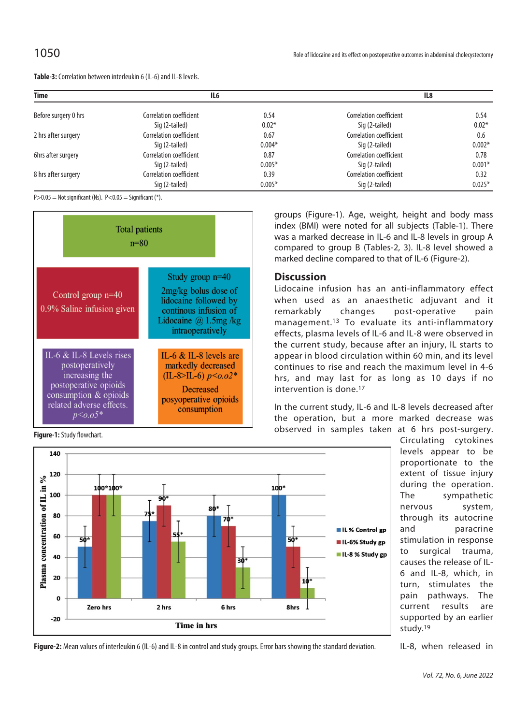| <b>Time</b>          | IL6                     |          | IL8                     |          |  |
|----------------------|-------------------------|----------|-------------------------|----------|--|
| Before surgery 0 hrs | Correlation coefficient | 0.54     | Correlation coefficient | 0.54     |  |
|                      | Sig (2-tailed)          | $0.02*$  | Sig (2-tailed)          | $0.02*$  |  |
| 2 hrs after surgery  | Correlation coefficient | 0.67     | Correlation coefficient | 0.6      |  |
|                      | Sig (2-tailed)          | $0.004*$ | Sig (2-tailed)          | $0.002*$ |  |
| 6hrs after surgery   | Correlation coefficient | 0.87     | Correlation coefficient | 0.78     |  |
|                      | Sig (2-tailed)          | $0.005*$ | Sig (2-tailed)          | $0.001*$ |  |
| 8 hrs after surgery  | Correlation coefficient | 0.39     | Correlation coefficient | 0.32     |  |
|                      | Sig (2-tailed)          | $0.005*$ | Sig (2-tailed)          | $0.025*$ |  |

 $P>0.05$  = Not significant (Ns).  $P<0.05$  = Significant (\*).

**Table-3:** Correlation between interleukin 6 (IL-6) and IL-8 levels.



**Figure-1:** Study flowchart.



groups (Figure-1). Age, weight, height and body mass index (BMI) were noted for all subjects (Table-1). There was a marked decrease in IL-6 and IL-8 levels in group A compared to group B (Tables-2, 3). IL-8 level showed a marked decline compared to that of IL-6 (Figure-2).

# **Discussion**

Lidocaine infusion has an anti-inflammatory effect when used as an anaesthetic adjuvant and it remarkably changes post-operative pain management.13 To evaluate its anti-inflammatory effects, plasma levels of IL-6 and IL-8 were observed in the current study, because after an injury, IL starts to appear in blood circulation within 60 min, and its level continues to rise and reach the maximum level in 4-6 hrs, and may last for as long as 10 days if no intervention is done.17

In the current study, IL-6 and IL-8 levels decreased after the operation, but a more marked decrease was observed in samples taken at 6 hrs post-surgery.

> Circulating cytokines levels appear to be proportionate to the extent of tissue injury during the operation. The sympathetic nervous system, through its autocrine and paracrine stimulation in response to surgical trauma, causes the release of IL-6 and IL-8, which, in turn, stimulates the pain pathways. The current results are supported by an earlier study.19

IL-8, when released in

**Figure-2:** Mean values of interleukin 6 (IL-6) and IL-8 in control and study groups. Error bars showing the standard deviation.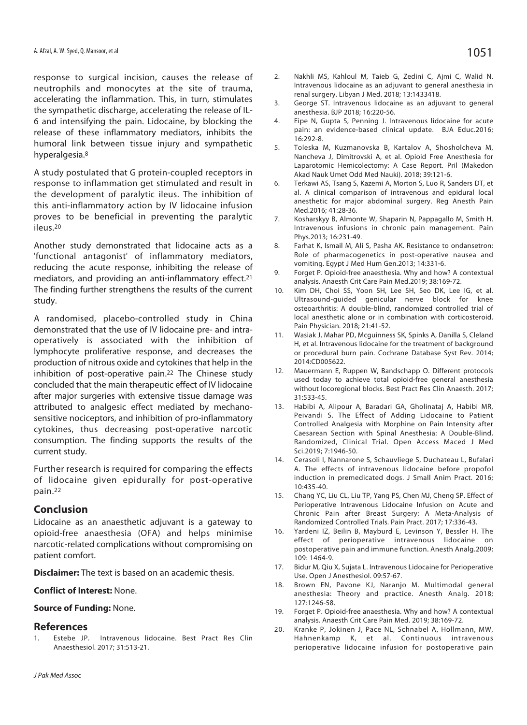response to surgical incision, causes the release of neutrophils and monocytes at the site of trauma, accelerating the inflammation. This, in turn, stimulates the sympathetic discharge, accelerating the release of IL-6 and intensifying the pain. Lidocaine, by blocking the release of these inflammatory mediators, inhibits the humoral link between tissue injury and sympathetic hyperalgesia.8

A study postulated that G protein-coupled receptors in response to inflammation get stimulated and result in the development of paralytic ileus. The inhibition of this anti-inflammatory action by IV lidocaine infusion proves to be beneficial in preventing the paralytic ileus.20

Another study demonstrated that lidocaine acts as a 'functional antagonist' of inflammatory mediators, reducing the acute response, inhibiting the release of mediators, and providing an anti-inflammatory effect.<sup>21</sup> The finding further strengthens the results of the current study.

A randomised, placebo-controlled study in China demonstrated that the use of IV lidocaine pre- and intraoperatively is associated with the inhibition of lymphocyte proliferative response, and decreases the production of nitrous oxide and cytokines that help in the inhibition of post-operative pain.<sup>22</sup> The Chinese study concluded that the main therapeutic effect of IV lidocaine after major surgeries with extensive tissue damage was attributed to analgesic effect mediated by mechanosensitive nociceptors, and inhibition of pro-inflammatory cytokines, thus decreasing post-operative narcotic consumption. The finding supports the results of the current study.

Further research is required for comparing the effects of lidocaine given epidurally for post-operative pain.22

#### **Conclusion**

Lidocaine as an anaesthetic adjuvant is a gateway to opioid-free anaesthesia (OFA) and helps minimise narcotic-related complications without compromising on patient comfort.

**Disclaimer:** The text is based on an academic thesis.

#### **Conflict of Interest:** None.

#### **Source of Funding:** None.

## **References**

Estebe JP. Intravenous lidocaine. Best Pract Res Clin Anaesthesiol. 2017; 31:513-21.

- 2. Nakhli MS, Kahloul M, Taieb G, Zedini C, Ajmi C, Walid N. Intravenous lidocaine as an adjuvant to general anesthesia in renal surgery. Libyan J Med. 2018; 13:1433418.
- 3. George ST. Intravenous lidocaine as an adjuvant to general anesthesia. BJP 2018; 16:220-56.
- 4. Eipe N, Gupta S, Penning J. Intravenous lidocaine for acute pain: an evidence-based clinical update. BJA Educ.2016; 16:292-8.
- 5. Toleska M, Kuzmanovska B, Kartalov A, Shosholcheva M, Nancheva J, Dimitrovski A, et al. Opioid Free Anesthesia for Laparotomic Hemicolectomy: A Case Report. Pril (Makedon Akad Nauk Umet Odd Med Nauki). 2018; 39:121-6.
- 6. Terkawi AS, Tsang S, Kazemi A, Morton S, Luo R, Sanders DT, et al. A clinical comparison of intravenous and epidural local anesthetic for major abdominal surgery. Reg Anesth Pain Med.2016; 41:28-36.
- 7. Kosharskyy B, Almonte W, Shaparin N, Pappagallo M, Smith H. Intravenous infusions in chronic pain management. Pain Phys.2013; 16:231-49.
- 8. Farhat K, Ismail M, Ali S, Pasha AK. Resistance to ondansetron: Role of pharmacogenetics in post-operative nausea and vomiting. Egypt J Med Hum Gen.2013; 14:331-6.
- 9. Forget P. Opioid-free anaesthesia. Why and how? A contextual analysis. Anaesth Crit Care Pain Med.2019; 38:169-72.
- 10. Kim DH, Choi SS, Yoon SH, Lee SH, Seo DK, Lee IG, et al. Ultrasound-guided genicular nerve block for knee osteoarthritis: A double-blind, randomized controlled trial of local anesthetic alone or in combination with corticosteroid. Pain Physician. 2018; 21:41-52.
- 11. Wasiak J, Mahar PD, Mcguinness SK, Spinks A, Danilla S, Cleland H, et al. Intravenous lidocaine for the treatment of background or procedural burn pain. Cochrane Database Syst Rev. 2014; 2014:CD005622.
- 12. Mauermann E, Ruppen W, Bandschapp O. Different protocols used today to achieve total opioid-free general anesthesia without locoregional blocks. Best Pract Res Clin Anaesth. 2017; 31:533-45.
- 13. Habibi A, Alipour A, Baradari GA, Gholinataj A, Habibi MR, Peivandi S. The Effect of Adding Lidocaine to Patient Controlled Analgesia with Morphine on Pain Intensity after Caesarean Section with Spinal Anesthesia: A Double-Blind, Randomized, Clinical Trial. Open Access Maced J Med Sci.2019; 7:1946-50.
- 14. Cerasoli I, Nannarone S, Schauvliege S, Duchateau L, Bufalari A. The effects of intravenous lidocaine before propofol induction in premedicated dogs. J Small Anim Pract. 2016; 10:435-40.
- 15. Chang YC, Liu CL, Liu TP, Yang PS, Chen MJ, Cheng SP. Effect of Perioperative Intravenous Lidocaine Infusion on Acute and Chronic Pain after Breast Surgery: A Meta-Analysis of Randomized Controlled Trials. Pain Pract. 2017; 17:336-43.
- 16. Yardeni IZ, Beilin B, Mayburd E, Levinson Y, Bessler H. The effect of perioperative intravenous lidocaine on postoperative pain and immune function. Anesth Analg.2009; 109: 1464-9.
- 17. Bidur M, Qiu X, Sujata L. Intravenous Lidocaine for Perioperative Use. Open J Anesthesiol. 09:57-67.
- 18. Brown EN, Pavone KJ, Naranjo M. Multimodal general anesthesia: Theory and practice. Anesth Analg. 2018; 127:1246-58.
- 19. Forget P. Opioid-free anaesthesia. Why and how? A contextual analysis. Anaesth Crit Care Pain Med. 2019; 38:169-72.
- 20. Kranke P, Jokinen J, Pace NL, Schnabel A, Hollmann, MW, Hahnenkamp K, et al. Continuous intravenous perioperative lidocaine infusion for postoperative pain